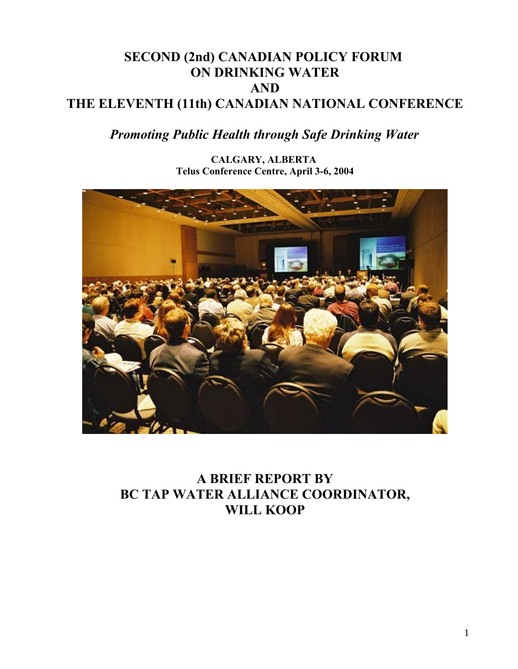## **SECOND (2nd) CANADIAN POLICY FORUM ON DRINKING WATER AND THE ELEVENTH (11th) CANADIAN NATIONAL CONFERENCE**

# *Promoting Public Health through Safe Drinking Water*

**CALGARY, ALBERTA Telus Conference Centre, April 3-6, 2004**



**A BRIEF REPORT BY BC TAP WATER ALLIANCE COORDINATOR, WILL KOOP**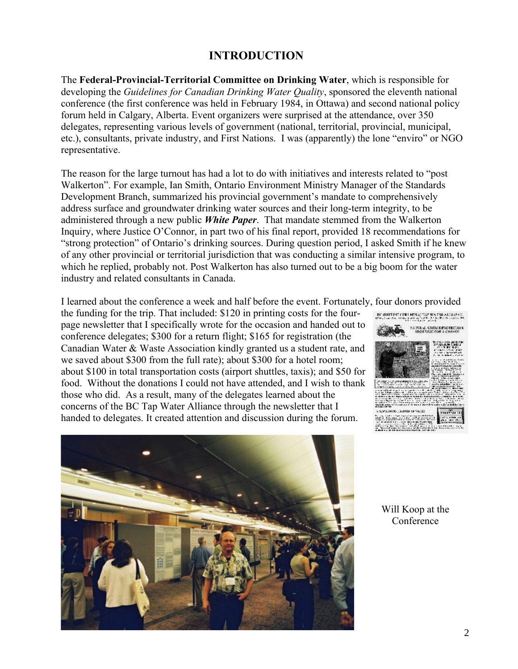## **INTRODUCTION**

The **Federal-Provincial-Territorial Committee on Drinking Water**, which is responsible for developing the *Guidelines for Canadian Drinking Water Quality*, sponsored the eleventh national conference (the first conference was held in February 1984, in Ottawa) and second national policy forum held in Calgary, Alberta. Event organizers were surprised at the attendance, over 350 delegates, representing various levels of government (national, territorial, provincial, municipal, etc.), consultants, private industry, and First Nations. I was (apparently) the lone "enviro" or NGO representative.

The reason for the large turnout has had a lot to do with initiatives and interests related to "post Walkerton". For example, Ian Smith, Ontario Environment Ministry Manager of the Standards Development Branch, summarized his provincial government's mandate to comprehensively address surface and groundwater drinking water sources and their long-term integrity, to be administered through a new public *White Paper*. That mandate stemmed from the Walkerton Inquiry, where Justice O'Connor, in part two of his final report, provided 18 recommendations for "strong protection" of Ontario's drinking sources. During question period, I asked Smith if he knew of any other provincial or territorial jurisdiction that was conducting a similar intensive program, to which he replied, probably not. Post Walkerton has also turned out to be a big boom for the water industry and related consultants in Canada.

I learned about the conference a week and half before the event. Fortunately, four donors provided

the funding for the trip. That included: \$120 in printing costs for the fourpage newsletter that I specifically wrote for the occasion and handed out to conference delegates; \$300 for a return flight; \$165 for registration (the Canadian Water & Waste Association kindly granted us a student rate, and we saved about \$300 from the full rate); about \$300 for a hotel room; about \$100 in total transportation costs (airport shuttles, taxis); and \$50 for food. Without the donations I could not have attended, and I wish to thank those who did. As a result, many of the delegates learned about the concerns of the BC Tap Water Alliance through the newsletter that I handed to delegates. It created attention and discussion during the forum.





Will Koop at the Conference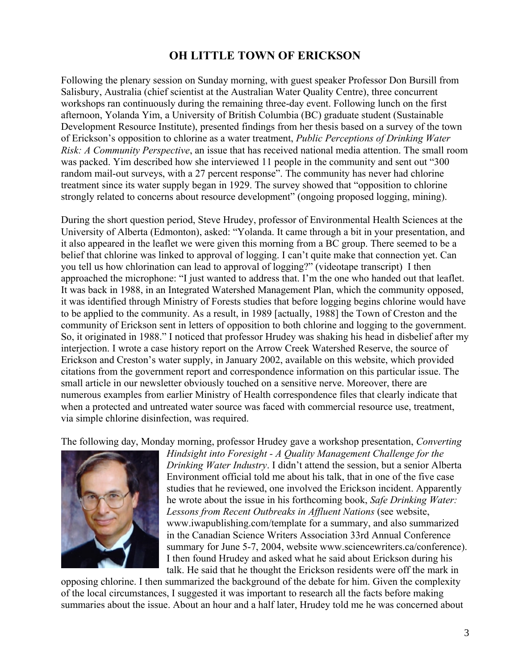#### **OH LITTLE TOWN OF ERICKSON**

Following the plenary session on Sunday morning, with guest speaker Professor Don Bursill from Salisbury, Australia (chief scientist at the Australian Water Quality Centre), three concurrent workshops ran continuously during the remaining three-day event. Following lunch on the first afternoon, Yolanda Yim, a University of British Columbia (BC) graduate student (Sustainable Development Resource Institute), presented findings from her thesis based on a survey of the town of Erickson's opposition to chlorine as a water treatment, *Public Perceptions of Drinking Water Risk: A Community Perspective*, an issue that has received national media attention. The small room was packed. Yim described how she interviewed 11 people in the community and sent out "300 random mail-out surveys, with a 27 percent response". The community has never had chlorine treatment since its water supply began in 1929. The survey showed that "opposition to chlorine strongly related to concerns about resource development" (ongoing proposed logging, mining).

During the short question period, Steve Hrudey, professor of Environmental Health Sciences at the University of Alberta (Edmonton), asked: "Yolanda. It came through a bit in your presentation, and it also appeared in the leaflet we were given this morning from a BC group. There seemed to be a belief that chlorine was linked to approval of logging. I can't quite make that connection yet. Can you tell us how chlorination can lead to approval of logging?" (videotape transcript) I then approached the microphone: "I just wanted to address that. I'm the one who handed out that leaflet. It was back in 1988, in an Integrated Watershed Management Plan, which the community opposed, it was identified through Ministry of Forests studies that before logging begins chlorine would have to be applied to the community. As a result, in 1989 [actually, 1988] the Town of Creston and the community of Erickson sent in letters of opposition to both chlorine and logging to the government. So, it originated in 1988." I noticed that professor Hrudey was shaking his head in disbelief after my interjection. I wrote a case history report on the Arrow Creek Watershed Reserve, the source of Erickson and Creston's water supply, in January 2002, available on this website, which provided citations from the government report and correspondence information on this particular issue. The small article in our newsletter obviously touched on a sensitive nerve. Moreover, there are numerous examples from earlier Ministry of Health correspondence files that clearly indicate that when a protected and untreated water source was faced with commercial resource use, treatment, via simple chlorine disinfection, was required.

The following day, Monday morning, professor Hrudey gave a workshop presentation, *Converting*



*Hindsight into Foresight - A Quality Management Challenge for the Drinking Water Industry*. I didn't attend the session, but a senior Alberta Environment official told me about his talk, that in one of the five case studies that he reviewed, one involved the Erickson incident. Apparently he wrote about the issue in his forthcoming book, *Safe Drinking Water: Lessons from Recent Outbreaks in Affluent Nations* (see website, www.iwapublishing.com/template for a summary, and also summarized in the Canadian Science Writers Association 33rd Annual Conference summary for June 5-7, 2004, website www.sciencewriters.ca/conference). I then found Hrudey and asked what he said about Erickson during his talk. He said that he thought the Erickson residents were off the mark in

opposing chlorine. I then summarized the background of the debate for him. Given the complexity of the local circumstances, I suggested it was important to research all the facts before making summaries about the issue. About an hour and a half later, Hrudey told me he was concerned about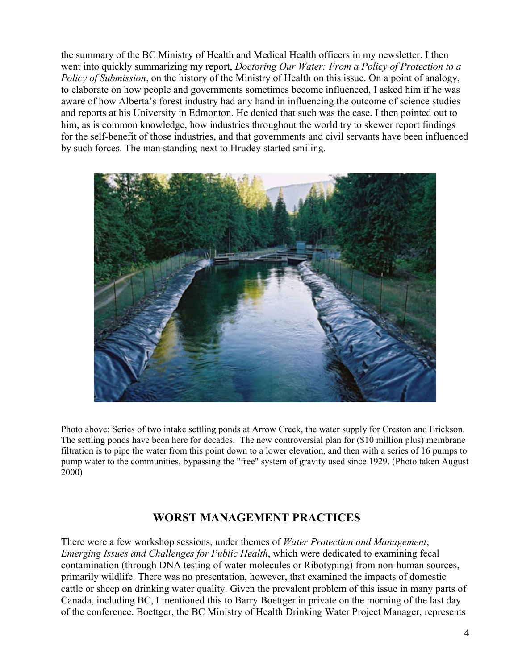the summary of the BC Ministry of Health and Medical Health officers in my newsletter. I then went into quickly summarizing my report, *Doctoring Our Water: From a Policy of Protection to a Policy of Submission*, on the history of the Ministry of Health on this issue. On a point of analogy, to elaborate on how people and governments sometimes become influenced, I asked him if he was aware of how Alberta's forest industry had any hand in influencing the outcome of science studies and reports at his University in Edmonton. He denied that such was the case. I then pointed out to him, as is common knowledge, how industries throughout the world try to skewer report findings for the self-benefit of those industries, and that governments and civil servants have been influenced by such forces. The man standing next to Hrudey started smiling.



Photo above: Series of two intake settling ponds at Arrow Creek, the water supply for Creston and Erickson. The settling ponds have been here for decades. The new controversial plan for (\$10 million plus) membrane filtration is to pipe the water from this point down to a lower elevation, and then with a series of 16 pumps to pump water to the communities, bypassing the "free" system of gravity used since 1929. (Photo taken August 2000)

## **WORST MANAGEMENT PRACTICES**

There were a few workshop sessions, under themes of *Water Protection and Management*, *Emerging Issues and Challenges for Public Health*, which were dedicated to examining fecal contamination (through DNA testing of water molecules or Ribotyping) from non-human sources, primarily wildlife. There was no presentation, however, that examined the impacts of domestic cattle or sheep on drinking water quality. Given the prevalent problem of this issue in many parts of Canada, including BC, I mentioned this to Barry Boettger in private on the morning of the last day of the conference. Boettger, the BC Ministry of Health Drinking Water Project Manager, represents